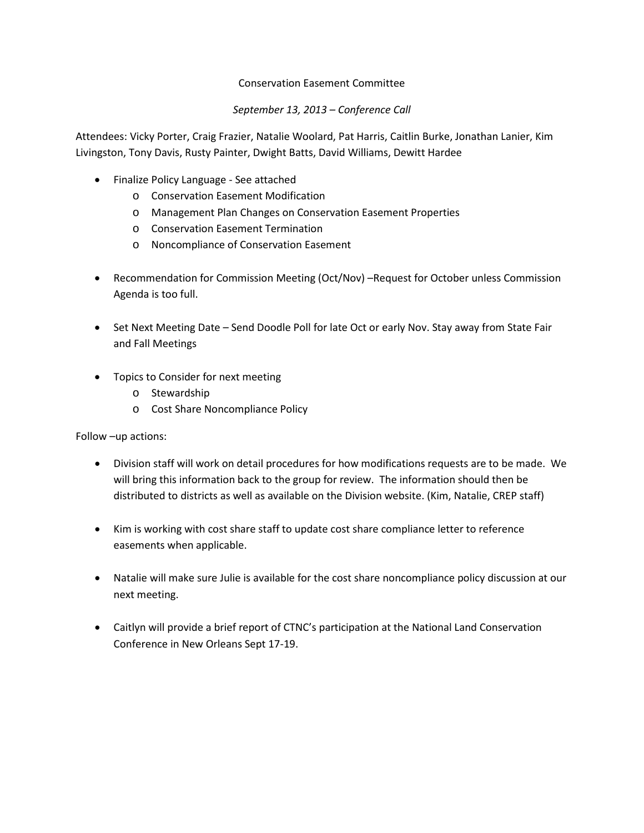# Conservation Easement Committee

# *September 13, 2013 – Conference Call*

Attendees: Vicky Porter, Craig Frazier, Natalie Woolard, Pat Harris, Caitlin Burke, Jonathan Lanier, Kim Livingston, Tony Davis, Rusty Painter, Dwight Batts, David Williams, Dewitt Hardee

- Finalize Policy Language See attached
	- o Conservation Easement Modification
	- o Management Plan Changes on Conservation Easement Properties
	- o Conservation Easement Termination
	- o Noncompliance of Conservation Easement
- Recommendation for Commission Meeting (Oct/Nov) –Request for October unless Commission Agenda is too full.
- Set Next Meeting Date Send Doodle Poll for late Oct or early Nov. Stay away from State Fair and Fall Meetings
- Topics to Consider for next meeting
	- o Stewardship
	- o Cost Share Noncompliance Policy

Follow –up actions:

- Division staff will work on detail procedures for how modifications requests are to be made. We will bring this information back to the group for review. The information should then be distributed to districts as well as available on the Division website. (Kim, Natalie, CREP staff)
- Kim is working with cost share staff to update cost share compliance letter to reference easements when applicable.
- Natalie will make sure Julie is available for the cost share noncompliance policy discussion at our next meeting.
- Caitlyn will provide a brief report of CTNC's participation at the National Land Conservation Conference in New Orleans Sept 17-19.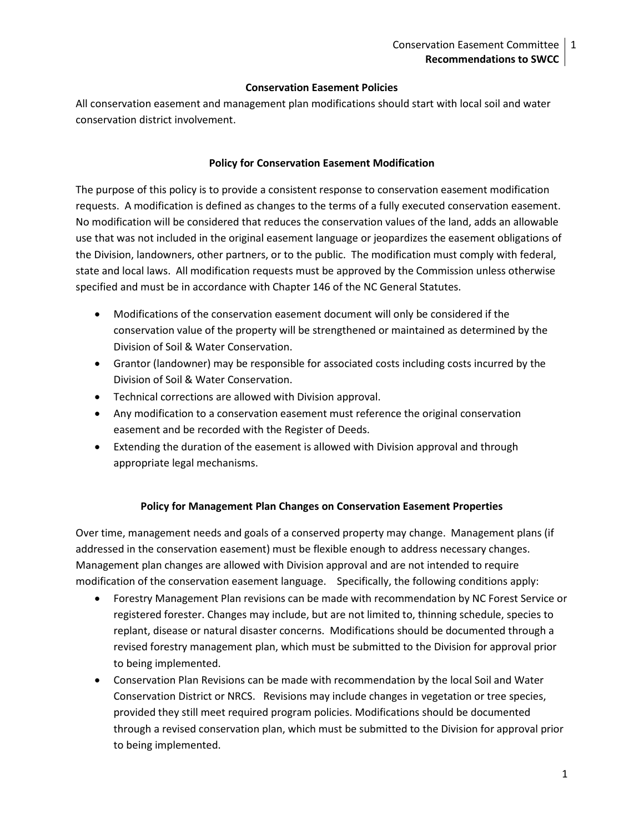## **Conservation Easement Policies**

All conservation easement and management plan modifications should start with local soil and water conservation district involvement.

#### **Policy for Conservation Easement Modification**

The purpose of this policy is to provide a consistent response to conservation easement modification requests. A modification is defined as changes to the terms of a fully executed conservation easement. No modification will be considered that reduces the conservation values of the land, adds an allowable use that was not included in the original easement language or jeopardizes the easement obligations of the Division, landowners, other partners, or to the public. The modification must comply with federal, state and local laws. All modification requests must be approved by the Commission unless otherwise specified and must be in accordance with Chapter 146 of the NC General Statutes.

- Modifications of the conservation easement document will only be considered if the conservation value of the property will be strengthened or maintained as determined by the Division of Soil & Water Conservation.
- Grantor (landowner) may be responsible for associated costs including costs incurred by the Division of Soil & Water Conservation.
- Technical corrections are allowed with Division approval.
- Any modification to a conservation easement must reference the original conservation easement and be recorded with the Register of Deeds.
- Extending the duration of the easement is allowed with Division approval and through appropriate legal mechanisms.

## **Policy for Management Plan Changes on Conservation Easement Properties**

Over time, management needs and goals of a conserved property may change. Management plans (if addressed in the conservation easement) must be flexible enough to address necessary changes. Management plan changes are allowed with Division approval and are not intended to require modification of the conservation easement language. Specifically, the following conditions apply:

- Forestry Management Plan revisions can be made with recommendation by NC Forest Service or registered forester. Changes may include, but are not limited to, thinning schedule, species to replant, disease or natural disaster concerns. Modifications should be documented through a revised forestry management plan, which must be submitted to the Division for approval prior to being implemented.
- Conservation Plan Revisions can be made with recommendation by the local Soil and Water Conservation District or NRCS. Revisions may include changes in vegetation or tree species, provided they still meet required program policies. Modifications should be documented through a revised conservation plan, which must be submitted to the Division for approval prior to being implemented.